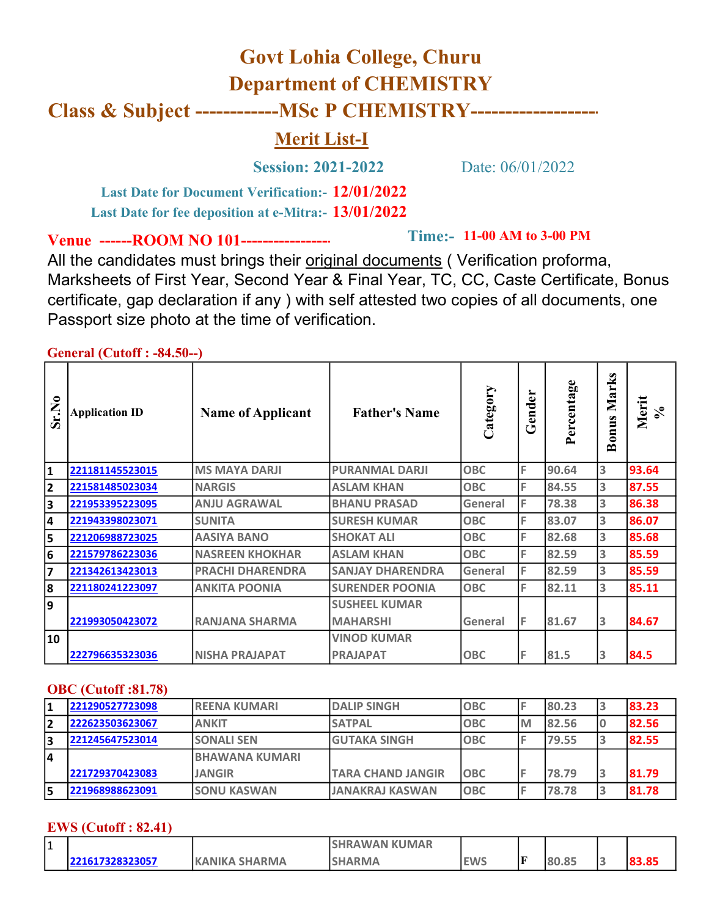# Govt Lohia College, Churu Department of CHEMISTRY Class & Subject --------------MSc P CHEMISTRY--------------

## Merit List-I

Session: 2021-2022 Date: 06/01/2022

**Time:- 11-00 AM to 3-00 PM** 

PRAJAPAT | OBC | F | 81.5 | 3 | 84.5

Last Date for Document Verification: - 12/01/2022 Last Date for fee deposition at e-Mitra:- 13/01/2022

Venue ------ROOM NO 101--------------

All the candidates must brings their original documents ( Verification proforma, Marksheets of First Year, Second Year & Final Year, TC, CC, Caste Certificate, Bonus certificate, gap declaration if any ) with self attested two copies of all documents, one Passport size photo at the time of verification.

 $General (Cutoff \cdot .84.50...)$ 

|       | <b>OURLAL (CURULE : "07.</b> JU"") |                          |                         |            |        |       |                       |            |
|-------|------------------------------------|--------------------------|-------------------------|------------|--------|-------|-----------------------|------------|
| Sr.No | <b>Application ID</b>              | <b>Name of Applicant</b> | <b>Father's Name</b>    | ➢          | Gender | age   | Marks<br><b>Bonus</b> | Merit<br>న |
|       | 221181145523015                    | <b>MS MAYA DARJI</b>     | <b>PURANMAL DARJI</b>   | <b>OBC</b> | ١F     | 90.64 |                       | 93.64      |
|       | 221581485023034                    | <b>NARGIS</b>            | <b>ASLAM KHAN</b>       | <b>OBC</b> | ١F     | 84.55 |                       | 87.55      |
|       | 221953395223095                    | <b>ANJU AGRAWAL</b>      | <b>BHANU PRASAD</b>     | General    |        | 78.38 |                       | 86.38      |
|       | 221943398023071                    | <b>SUNITA</b>            | <b>SURESH KUMAR</b>     | <b>OBC</b> |        | 83.07 |                       | 86.07      |
|       | 221206988723025                    | <b>AASIYA BANO</b>       | <b>SHOKAT ALI</b>       | <b>OBC</b> |        | 82.68 |                       | 85.68      |
|       | 221579786223036                    | <b>NASREEN KHOKHAR</b>   | <b>ASLAM KHAN</b>       | <b>OBC</b> |        | 82.59 |                       | 85.59      |
|       | 221342613423013                    | <b>PRACHI DHARENDRA</b>  | <b>SANJAY DHARENDRA</b> | General    |        | 82.59 |                       | 85.59      |
|       | 221180241223097                    | <b>JANKITA POONIA</b>    | <b>SURENDER POONIA</b>  | <b>OBC</b> |        | 82.11 |                       | 85.11      |
| q     |                                    |                          | <b>SUSHEEL KUMAR</b>    |            |        |       |                       |            |
|       | 221993050423072                    | <b>RANJANA SHARMA</b>    | <b>MAHARSHI</b>         | General    | IF     | 81.67 | 13                    | 84.67      |

#### OBC (Cutoff :81.78)

222796635323036 NISHA PRAJAPAT

10

|    | 221290527723098 | <b>IREENA KUMARI</b>   | <b>DALIP SINGH</b>       | <b>OBC</b>  |    | 180.23 | 83.23 |
|----|-----------------|------------------------|--------------------------|-------------|----|--------|-------|
|    | 222623503623067 | <b>ANKIT</b>           | <b>SATPAL</b>            | <b>OBC</b>  | IM | 182.56 | 82.56 |
| 3  | 221245647523014 | <b>SONALI SEN</b>      | <b>GUTAKA SINGH</b>      | <b>OBC</b>  |    | 79.55  | 82.55 |
| 14 |                 | <b>IBHAWANA KUMARI</b> |                          |             |    |        |       |
|    | 221729370423083 | <b>JANGIR</b>          | <b>TARA CHAND JANGIR</b> | <b>IOBC</b> |    | 178.79 | 81.79 |
| 5  | 221968988623091 | <b>ISONU KASWAN</b>    | <b>JANAKRAJ KASWAN</b>   | <b>OBC</b>  |    | 78.78  | 81.78 |

VINOD KUMAR

#### EWS (Cutoff : 82.41)

| I٥<br>. . |             |                        | IRAWAN KUMAR |            |    |                        |   |
|-----------|-------------|------------------------|--------------|------------|----|------------------------|---|
|           | 17328323057 | <b>SHARMA</b><br>ΔΝΙΚΔ | <b>RMA</b>   | <b>EWS</b> | IF | O <sub>F</sub><br>v.os | ാ |